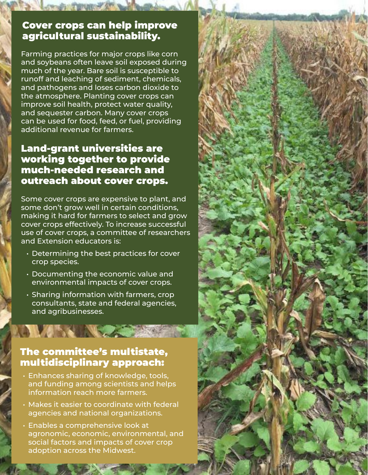## Cover crops can help improve agricultural sustainability.

Farming practices for major crops like corn and soybeans often leave soil exposed during much of the year. Bare soil is susceptible to runoff and leaching of sediment, chemicals, and pathogens and loses carbon dioxide to the atmosphere. Planting cover crops can improve soil health, protect water quality, and sequester carbon. Many cover crops can be used for food, feed, or fuel, providing additional revenue for farmers.

## Land-grant universities are working together to provide much-needed research and outreach about cover crops.

Some cover crops are expensive to plant, and some don't grow well in certain conditions, making it hard for farmers to select and grow cover crops effectively. To increase successful use of cover crops, a committee of researchers and Extension educators is:

- Determining the best practices for cover crop species.
- Documenting the economic value and environmental impacts of cover crops.
- Sharing information with farmers, crop consultants, state and federal agencies, and agribusinesses.

## The committee's multistate, multidisciplinary approach:

**ANTES NE** 

- Enhances sharing of knowledge, tools, and funding among scientists and helps information reach more farmers.
- Makes it easier to coordinate with federal agencies and national organizations.
- Enables a comprehensive look at agronomic, economic, environmental, and social factors and impacts of cover crop adoption across the Midwest.